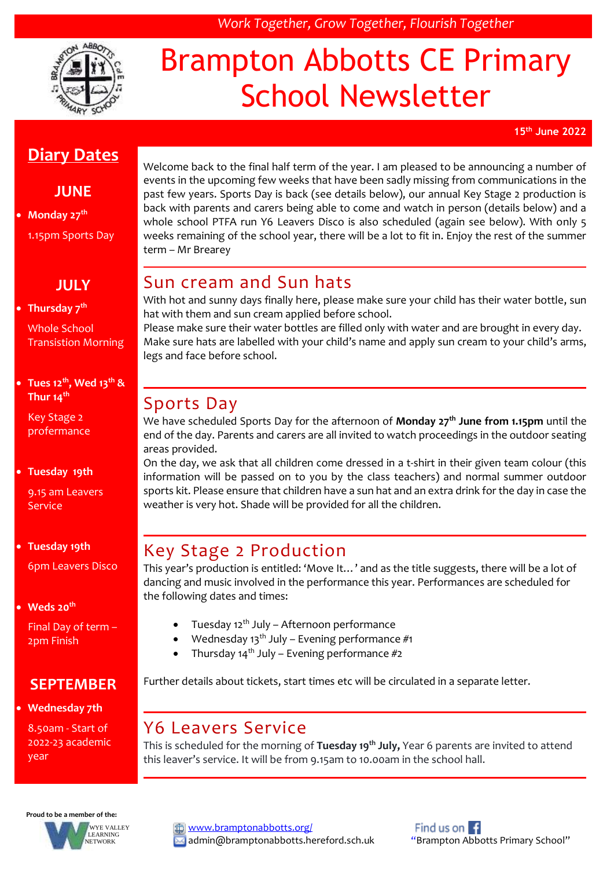

# Brampton Abbotts CE Primary School Newsletter

*Work Together, Grow Together, Flourish Together*

**15th June 2022**

## **Diary Dates**

#### **JUNE**

 **Monday 27th** 1.15pm Sports Day

#### **JULY**

#### **Thursday 7th**

Whole School Transistion Morning

#### **Tues 12th, Wed 13th & Thur 14th**

Key Stage 2 profermance

#### **Tuesday 19th**

9.15 am Leavers Service

#### **Tuesday 19th** 6pm Leavers Disco

**Weds 20th**

Final Day of term – 2pm Finish

#### **SEPTEMBER**

**Wednesday 7th**

8.50am - Start of 2022-23 academic year

Welcome back to the final half term of the year. I am pleased to be announcing a number of events in the upcoming few weeks that have been sadly missing from communications in the past few years. Sports Day is back (see details below), our annual Key Stage 2 production is back with parents and carers being able to come and watch in person (details below) and a whole school PTFA run Y6 Leavers Disco is also scheduled (again see below). With only 5 weeks remaining of the school year, there will be a lot to fit in. Enjoy the rest of the summer term – Mr Brearey

## Sun cream and Sun hats

With hot and sunny days finally here, please make sure your child has their water bottle, sun hat with them and sun cream applied before school.

Please make sure their water bottles are filled only with water and are brought in every day. Make sure hats are labelled with your child's name and apply sun cream to your child's arms, legs and face before school.

#### Sports Day

We have scheduled Sports Day for the afternoon of **Monday 27th June from 1.15pm** until the end of the day. Parents and carers are all invited to watch proceedings in the outdoor seating areas provided.

On the day, we ask that all children come dressed in a t-shirt in their given team colour (this information will be passed on to you by the class teachers) and normal summer outdoor sports kit. Please ensure that children have a sun hat and an extra drink for the day in case the weather is very hot. Shade will be provided for all the children.

#### Key Stage 2 Production

This year's production is entitled: 'Move It…' and as the title suggests, there will be a lot of dancing and music involved in the performance this year. Performances are scheduled for the following dates and times:

- Tuesday 12<sup>th</sup> July Afternoon performance
- Wednesday 13<sup>th</sup> July Evening performance #1
- Thursday  $14^{th}$  July Evening performance  $#2$

Further details about tickets, start times etc will be circulated in a separate letter.

#### Y6 Leavers Service

This is scheduled for the morning of **Tuesday 19th July,** Year 6 parents are invited to attend this leaver's service. It will be from 9.15am to 10.00am in the school hall.



[www.bramptonabbotts.org/](http://www.bramptonabbotts.org/)